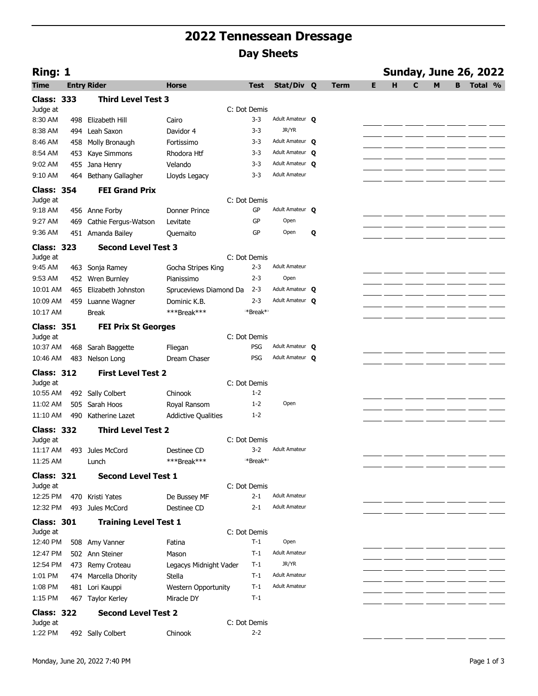## **2022 Tennessean Dressage Day Sheets**

| Ring: 1           |     |                              |                            |                      |                      |   |             |   |   |   |   |   | <b>Sunday, June 26, 2022</b> |  |
|-------------------|-----|------------------------------|----------------------------|----------------------|----------------------|---|-------------|---|---|---|---|---|------------------------------|--|
| Time              |     | <b>Entry Rider</b>           | <b>Horse</b>               | <b>Test</b>          | Stat/Div Q           |   | <b>Term</b> | Е | н | C | M | В | Total %                      |  |
| <b>Class: 333</b> |     | <b>Third Level Test 3</b>    |                            |                      |                      |   |             |   |   |   |   |   |                              |  |
| Judge at          |     |                              |                            | C: Dot Demis         |                      |   |             |   |   |   |   |   |                              |  |
| 8:30 AM           | 498 | Elizabeth Hill               | Cairo                      | $3 - 3$              | Adult Amateur O      |   |             |   |   |   |   |   |                              |  |
| 8:38 AM           | 494 | Leah Saxon                   | Davidor 4                  | $3 - 3$              | JR/YR                |   |             |   |   |   |   |   |                              |  |
| 8:46 AM           | 458 | Molly Bronaugh               | Fortissimo                 | $3 - 3$              | Adult Amateur Q      |   |             |   |   |   |   |   |                              |  |
| 8:54 AM           | 453 | Kaye Simmons                 | Rhodora Htf                | $3 - 3$              | Adult Amateur Q      |   |             |   |   |   |   |   |                              |  |
| 9:02 AM           | 455 | Jana Henry                   | Velando                    | $3 - 3$              | Adult Amateur Q      |   |             |   |   |   |   |   |                              |  |
| 9:10 AM           | 464 | Bethany Gallagher            | Lloyds Legacy              | $3 - 3$              | <b>Adult Amateur</b> |   |             |   |   |   |   |   |                              |  |
| <b>Class: 354</b> |     | <b>FEI Grand Prix</b>        |                            |                      |                      |   |             |   |   |   |   |   |                              |  |
| Judge at          |     |                              |                            | C: Dot Demis         |                      |   |             |   |   |   |   |   |                              |  |
| 9:18 AM           |     | 456 Anne Forby               | <b>Donner Prince</b>       | GP                   | Adult Amateur Q      |   |             |   |   |   |   |   |                              |  |
| 9:27 AM           | 469 | Cathie Fergus-Watson         | Levitate                   | GP                   | Open                 |   |             |   |   |   |   |   |                              |  |
| 9:36 AM           |     | 451 Amanda Bailey            | Quemaito                   | GP                   | Open                 | Q |             |   |   |   |   |   |                              |  |
| <b>Class: 323</b> |     | <b>Second Level Test 3</b>   |                            |                      |                      |   |             |   |   |   |   |   |                              |  |
| Judge at          |     |                              |                            | C: Dot Demis         |                      |   |             |   |   |   |   |   |                              |  |
| 9:45 AM           | 463 | Sonja Ramey                  | Gocha Stripes King         | $2 - 3$              | <b>Adult Amateur</b> |   |             |   |   |   |   |   |                              |  |
| 9:53 AM           | 452 | Wren Burnley                 | Pianissimo                 | $2 - 3$              | Open                 |   |             |   |   |   |   |   |                              |  |
| 10:01 AM          | 465 | Elizabeth Johnston           | Spruceviews Diamond Da     | $2 - 3$              | Adult Amateur Q      |   |             |   |   |   |   |   |                              |  |
| 10:09 AM          |     | 459 Luanne Wagner            | Dominic K.B.               | $2 - 3$              | Adult Amateur Q      |   |             |   |   |   |   |   |                              |  |
| 10:17 AM          |     | <b>Break</b>                 | ***Break***                | **Break**            |                      |   |             |   |   |   |   |   |                              |  |
| <b>Class: 351</b> |     | <b>FEI Prix St Georges</b>   |                            |                      |                      |   |             |   |   |   |   |   |                              |  |
| Judge at          |     |                              |                            | C: Dot Demis         |                      |   |             |   |   |   |   |   |                              |  |
| 10:37 AM          | 468 | Sarah Baggette               | Fliegan                    | PSG                  | Adult Amateur O      |   |             |   |   |   |   |   |                              |  |
| 10:46 AM          | 483 | Nelson Long                  | Dream Chaser               | PSG                  | Adult Amateur Q      |   |             |   |   |   |   |   |                              |  |
| <b>Class: 312</b> |     | <b>First Level Test 2</b>    |                            |                      |                      |   |             |   |   |   |   |   |                              |  |
| Judge at          |     |                              |                            | C: Dot Demis         |                      |   |             |   |   |   |   |   |                              |  |
| 10:55 AM          |     | 492 Sally Colbert            | Chinook                    | $1 - 2$              |                      |   |             |   |   |   |   |   |                              |  |
| 11:02 AM          | 505 | Sarah Hoos                   | Royal Ransom               | $1 - 2$              | Open                 |   |             |   |   |   |   |   |                              |  |
| 11:10 AM          | 490 | Katherine Lazet              | <b>Addictive Qualities</b> | $1 - 2$              |                      |   |             |   |   |   |   |   |                              |  |
| <b>Class: 332</b> |     | <b>Third Level Test 2</b>    |                            |                      |                      |   |             |   |   |   |   |   |                              |  |
| Judge at          |     |                              |                            | C: Dot Demis         |                      |   |             |   |   |   |   |   |                              |  |
| 11:17 AM          |     | 493 Jules McCord             | Destinee CD                | $3-2$                | <b>Adult Amateur</b> |   |             |   |   |   |   |   |                              |  |
| 11:25 AM          |     | Lunch                        | ***Break***                | *Break* <sup>*</sup> |                      |   |             |   |   |   |   |   |                              |  |
| <b>Class: 321</b> |     | <b>Second Level Test 1</b>   |                            |                      |                      |   |             |   |   |   |   |   |                              |  |
| Judge at          |     |                              |                            | C: Dot Demis         |                      |   |             |   |   |   |   |   |                              |  |
| 12:25 PM          |     | 470 Kristi Yates             | De Bussey MF               | $2 - 1$              | <b>Adult Amateur</b> |   |             |   |   |   |   |   |                              |  |
| 12:32 PM          | 493 | Jules McCord                 | Destinee CD                | $2 - 1$              | <b>Adult Amateur</b> |   |             |   |   |   |   |   |                              |  |
| <b>Class: 301</b> |     | <b>Training Level Test 1</b> |                            |                      |                      |   |             |   |   |   |   |   |                              |  |
| Judge at          |     |                              |                            | C: Dot Demis         |                      |   |             |   |   |   |   |   |                              |  |
| 12:40 PM          |     | 508 Amy Vanner               | Fatina                     | $T-1$                | Open                 |   |             |   |   |   |   |   |                              |  |
| 12:47 PM          |     | 502 Ann Steiner              | Mason                      | $T-1$                | <b>Adult Amateur</b> |   |             |   |   |   |   |   |                              |  |
| 12:54 PM          |     | 473 Remy Croteau             | Legacys Midnight Vader     | T-1                  | JR/YR                |   |             |   |   |   |   |   |                              |  |
| 1:01 PM           |     | 474 Marcella Dhority         | Stella                     | $T-1$                | <b>Adult Amateur</b> |   |             |   |   |   |   |   |                              |  |
| 1:08 PM           |     | 481 Lori Kauppi              | <b>Western Opportunity</b> | $T-1$                | <b>Adult Amateur</b> |   |             |   |   |   |   |   |                              |  |
| 1:15 PM           |     | 467 Taylor Kerley            | Miracle DY                 | T-1                  |                      |   |             |   |   |   |   |   |                              |  |
| <b>Class: 322</b> |     | <b>Second Level Test 2</b>   |                            |                      |                      |   |             |   |   |   |   |   |                              |  |
| Judge at          |     |                              |                            | C: Dot Demis         |                      |   |             |   |   |   |   |   |                              |  |
| 1:22 PM           |     | 492 Sally Colbert            | Chinook                    | $2 - 2$              |                      |   |             |   |   |   |   |   |                              |  |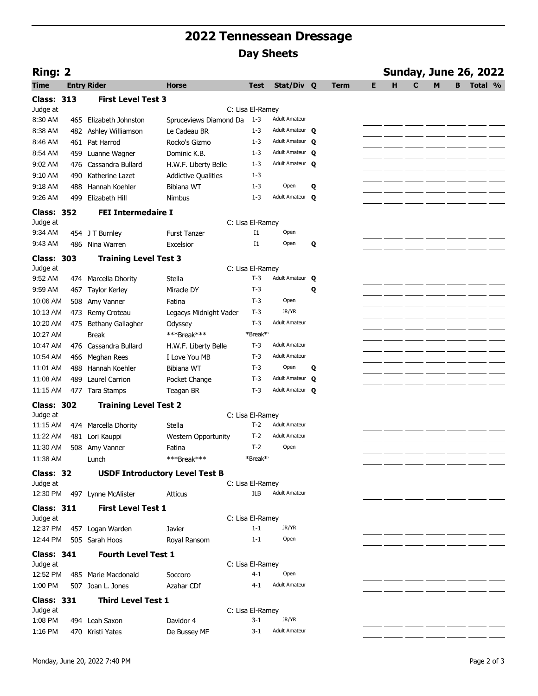## **2022 Tennessean Dressage Day Sheets**

| <b>Ring: 2</b>                |     |                                       |                            |                      |                      |   |             |   |   | <b>Sunday, June 26, 2022</b> |   |   |         |  |
|-------------------------------|-----|---------------------------------------|----------------------------|----------------------|----------------------|---|-------------|---|---|------------------------------|---|---|---------|--|
| <b>Time</b>                   |     | <b>Entry Rider</b>                    | Horse                      | <b>Test</b>          | Stat/Div Q           |   | <b>Term</b> | Е | н | C                            | M | в | Total % |  |
| <b>Class: 313</b>             |     | <b>First Level Test 3</b>             |                            |                      |                      |   |             |   |   |                              |   |   |         |  |
| Judge at                      |     |                                       |                            | C: Lisa El-Ramey     |                      |   |             |   |   |                              |   |   |         |  |
| 8:30 AM                       | 465 | Elizabeth Johnston                    | Spruceviews Diamond Da     | $1 - 3$              | <b>Adult Amateur</b> |   |             |   |   |                              |   |   |         |  |
| 8:38 AM                       | 482 | Ashley Williamson                     | Le Cadeau BR               | $1 - 3$              | Adult Amateur O      |   |             |   |   |                              |   |   |         |  |
| 8:46 AM                       | 461 | Pat Harrod                            | Rocko's Gizmo              | $1 - 3$              | Adult Amateur Q      |   |             |   |   |                              |   |   |         |  |
| 8:54 AM                       | 459 | Luanne Wagner                         | Dominic K.B.               | $1 - 3$              | Adult Amateur Q      |   |             |   |   |                              |   |   |         |  |
| 9:02 AM                       | 476 | Cassandra Bullard                     | H.W.F. Liberty Belle       | $1 - 3$              | Adult Amateur O      |   |             |   |   |                              |   |   |         |  |
| 9:10 AM                       | 490 | Katherine Lazet                       | <b>Addictive Qualities</b> | $1 - 3$              |                      |   |             |   |   |                              |   |   |         |  |
| 9:18 AM                       | 488 | Hannah Koehler                        | <b>Bibiana WT</b>          | $1 - 3$              | Open                 | Q |             |   |   |                              |   |   |         |  |
| 9:26 AM                       | 499 | Elizabeth Hill                        | Nimbus                     | $1 - 3$              | Adult Amateur Q      |   |             |   |   |                              |   |   |         |  |
| <b>Class: 352</b>             |     | <b>FEI Intermedaire I</b>             |                            |                      |                      |   |             |   |   |                              |   |   |         |  |
| Judge at                      |     |                                       |                            | C: Lisa El-Ramey     |                      |   |             |   |   |                              |   |   |         |  |
| 9:34 AM                       |     | 454 J T Burnley                       | <b>Furst Tanzer</b>        | $_{\rm I1}$          | Open                 |   |             |   |   |                              |   |   |         |  |
| 9:43 AM                       | 486 | Nina Warren                           | Excelsior                  | I1                   | Open                 | Q |             |   |   |                              |   |   |         |  |
| <b>Class: 303</b>             |     | <b>Training Level Test 3</b>          |                            |                      |                      |   |             |   |   |                              |   |   |         |  |
| Judge at                      |     |                                       |                            | C: Lisa El-Ramey     |                      |   |             |   |   |                              |   |   |         |  |
| 9:52 AM                       | 474 | Marcella Dhority                      | Stella                     | $T-3$                | Adult Amateur O      |   |             |   |   |                              |   |   |         |  |
| 9:59 AM                       | 467 | <b>Taylor Kerley</b>                  | Miracle DY                 | $T-3$                |                      | Q |             |   |   |                              |   |   |         |  |
| 10:06 AM                      | 508 | Amy Vanner                            | Fatina                     | T-3                  | Open                 |   |             |   |   |                              |   |   |         |  |
| 10:13 AM                      | 473 | Remy Croteau                          | Legacys Midnight Vader     | $T-3$                | JR/YR                |   |             |   |   |                              |   |   |         |  |
| 10:20 AM                      | 475 | Bethany Gallagher                     | Odyssey                    | $T-3$                | <b>Adult Amateur</b> |   |             |   |   |                              |   |   |         |  |
| 10:27 AM                      |     | <b>Break</b>                          | ***Break***                | *Break**             |                      |   |             |   |   |                              |   |   |         |  |
| 10:47 AM                      | 476 | Cassandra Bullard                     | H.W.F. Liberty Belle       | $T-3$                | <b>Adult Amateur</b> |   |             |   |   |                              |   |   |         |  |
| 10:54 AM                      | 466 | Meghan Rees                           | I Love You MB              | $T-3$                | <b>Adult Amateur</b> |   |             |   |   |                              |   |   |         |  |
| 11:01 AM                      | 488 | Hannah Koehler                        | Bibiana WT                 | T-3                  | Open                 | Q |             |   |   |                              |   |   |         |  |
| 11:08 AM                      | 489 | <b>Laurel Carrion</b>                 | Pocket Change              | T-3                  | Adult Amateur Q      |   |             |   |   |                              |   |   |         |  |
| 11:15 AM                      |     | 477 Tara Stamps                       | Teagan BR                  | $T-3$                | Adult Amateur Q      |   |             |   |   |                              |   |   |         |  |
| <b>Class: 302</b>             |     | <b>Training Level Test 2</b>          |                            |                      |                      |   |             |   |   |                              |   |   |         |  |
| Judge at                      |     |                                       |                            | C: Lisa El-Ramey     |                      |   |             |   |   |                              |   |   |         |  |
| 11:15 AM                      | 474 | Marcella Dhority                      | Stella                     | $T-2$                | <b>Adult Amateur</b> |   |             |   |   |                              |   |   |         |  |
| 11:22 AM                      | 481 | Lori Kauppi                           | <b>Western Opportunity</b> | $T-2$                | <b>Adult Amateur</b> |   |             |   |   |                              |   |   |         |  |
| 11:30 AM                      | 508 | Amy Vanner                            | Fatina                     | $T-2$                | Open                 |   |             |   |   |                              |   |   |         |  |
| 11:38 AM                      |     | Lunch                                 | ***Break***                | *Break* <sup>*</sup> |                      |   |             |   |   |                              |   |   |         |  |
| Class: 32                     |     | <b>USDF Introductory Level Test B</b> |                            |                      |                      |   |             |   |   |                              |   |   |         |  |
| Judge at                      |     |                                       |                            | C: Lisa El-Ramey     | <b>Adult Amateur</b> |   |             |   |   |                              |   |   |         |  |
| 12:30 PM                      |     | 497 Lynne McAlister                   | <b>Atticus</b>             | <b>ILB</b>           |                      |   |             |   |   |                              |   |   |         |  |
| <b>Class: 311</b><br>Judge at |     | <b>First Level Test 1</b>             |                            | C: Lisa El-Ramey     |                      |   |             |   |   |                              |   |   |         |  |
| 12:37 PM                      |     | 457 Logan Warden                      | Javier                     | $1 - 1$              | JR/YR                |   |             |   |   |                              |   |   |         |  |
| 12:44 PM                      |     | 505 Sarah Hoos                        | Royal Ransom               | $1 - 1$              | Open                 |   |             |   |   |                              |   |   |         |  |
|                               |     |                                       |                            |                      |                      |   |             |   |   |                              |   |   |         |  |
| <b>Class: 341</b><br>Judge at |     | <b>Fourth Level Test 1</b>            |                            | C: Lisa El-Ramey     |                      |   |             |   |   |                              |   |   |         |  |
| 12:52 PM                      |     | 485 Marie Macdonald                   | Soccoro                    | $4 - 1$              | Open                 |   |             |   |   |                              |   |   |         |  |
| 1:00 PM                       |     | 507 Joan L. Jones                     | Azahar CDf                 | $4 - 1$              | <b>Adult Amateur</b> |   |             |   |   |                              |   |   |         |  |
| <b>Class: 331</b>             |     | <b>Third Level Test 1</b>             |                            |                      |                      |   |             |   |   |                              |   |   |         |  |
| Judge at                      |     |                                       |                            | C: Lisa El-Ramey     |                      |   |             |   |   |                              |   |   |         |  |
| 1:08 PM                       |     | 494 Leah Saxon                        | Davidor 4                  | $3 - 1$              | JR/YR                |   |             |   |   |                              |   |   |         |  |
| 1:16 PM                       |     | 470 Kristi Yates                      | De Bussey MF               | $3 - 1$              | <b>Adult Amateur</b> |   |             |   |   |                              |   |   |         |  |